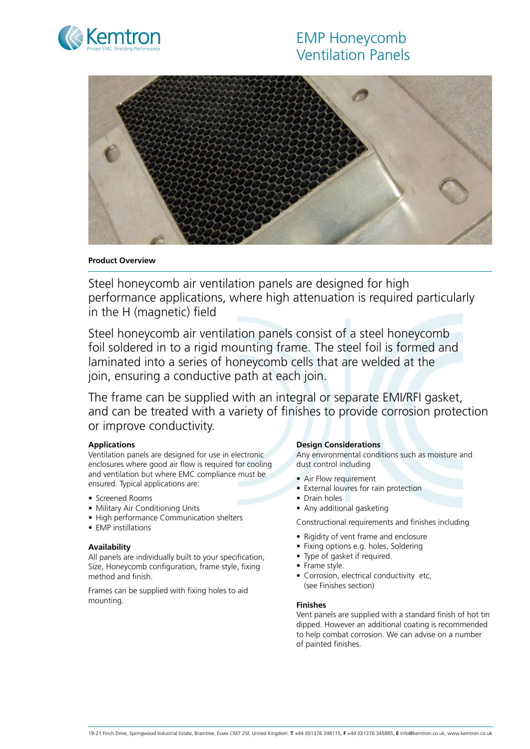# EMP Honeycomb Ventilation Panels





**Product Overview** 

Steel honeycomb air ventilation panels are designed for high performance applications, where high attenuation is required particularly in the H (magnetic) field

Steel honeycomb air ventilation panels consist of a steel honeycomb foil soldered in to a rigid mounting frame. The steel foil is formed and laminated into a series of honeycomb cells that are welded at the join, ensuring a conductive path at each join.

The frame can be supplied with an integral or separate EMI/RFI gasket, and can be treated with a variety of finishes to provide corrosion protection or improve conductivity.

# **Applications**

Ventilation panels are designed for use in electronic enclosures where good air flow is required for cooling and ventilation but where EMC compliance must be ensured. Typical applications are:

- Screened Rooms
- Military Air Conditioning Units
- High performance Communication shelters
- EMP instillations

# **Availability**

All panels are individually built to your specification, Size, Honeycomb configuration, frame style, fixing method and finish.

Frames can be supplied with fixing holes to aid mounting.

#### **Design Considerations**

Any environmental conditions such as moisture and dust control including

- Air Flow requirement
- External louvres for rain protection
- Drain holes
- Any additional gasketing

Constructional requirements and finishes including

- Rigidity of vent frame and enclosure
- Fixing options e.g. holes, Soldering
- Type of gasket if required.
- Frame style.
- Corrosion, electrical conductivity etc, (see Finishes section)

#### **Finishes**

Vent panels are supplied with a standard finish of hot tin dipped. However an additional coating is recommended to help combat corrosion. We can advise on a number of painted finishes.